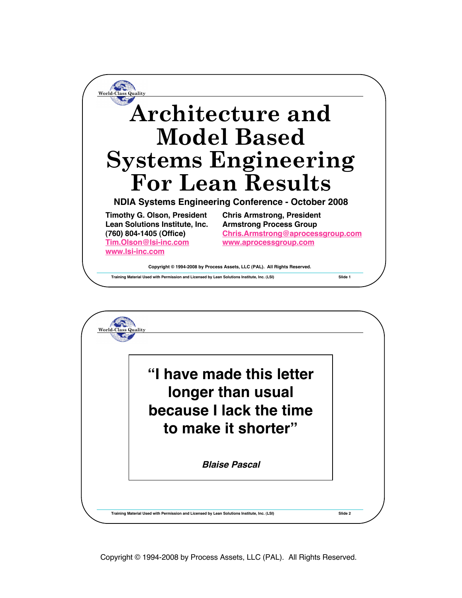

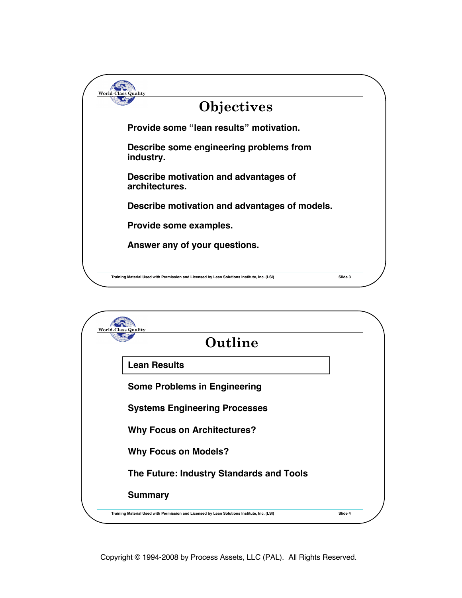

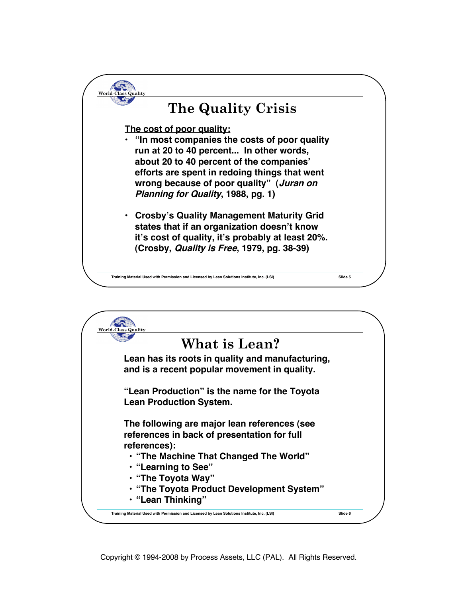

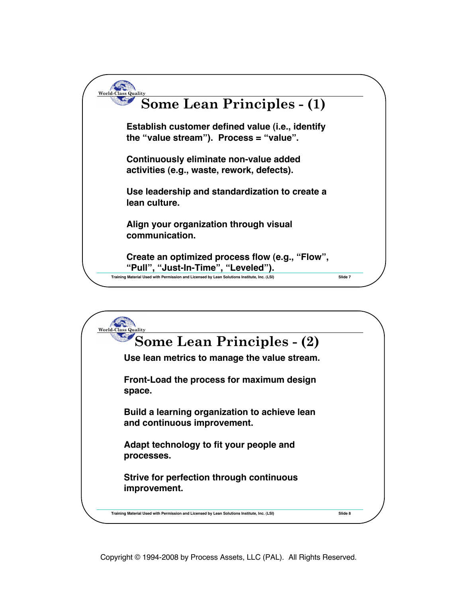

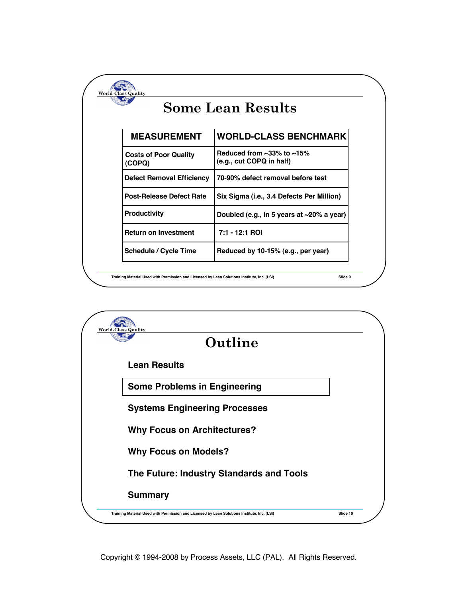| <b>Some Lean Results</b>               |                                                                           |
|----------------------------------------|---------------------------------------------------------------------------|
| <b>MEASUREMENT</b>                     | <b>WORLD-CLASS BENCHMARK</b>                                              |
| <b>Costs of Poor Quality</b><br>(COPQ) | Reduced from $\approx 33\%$ to $\approx 15\%$<br>(e.g., cut COPQ in half) |
| <b>Defect Removal Efficiency</b>       | 70-90% defect removal before test                                         |
| <b>Post-Release Defect Rate</b>        | Six Sigma (i.e., 3.4 Defects Per Million)                                 |
| <b>Productivity</b>                    | Doubled (e.g., in 5 years at $\sim$ 20% a year)                           |
| <b>Return on Investment</b>            | 7:1 - 12:1 ROI                                                            |
| <b>Schedule / Cycle Time</b>           | Reduced by 10-15% (e.g., per year)                                        |

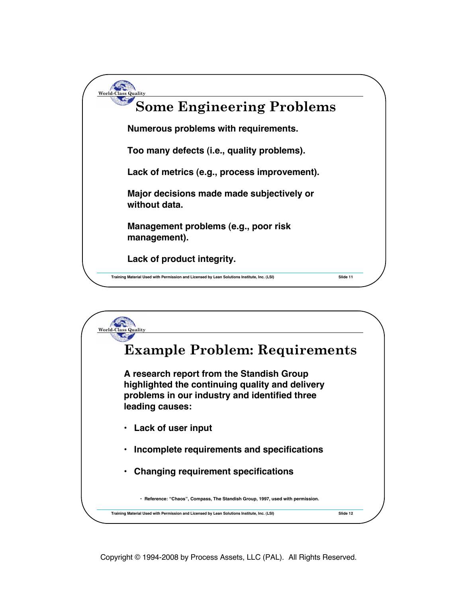

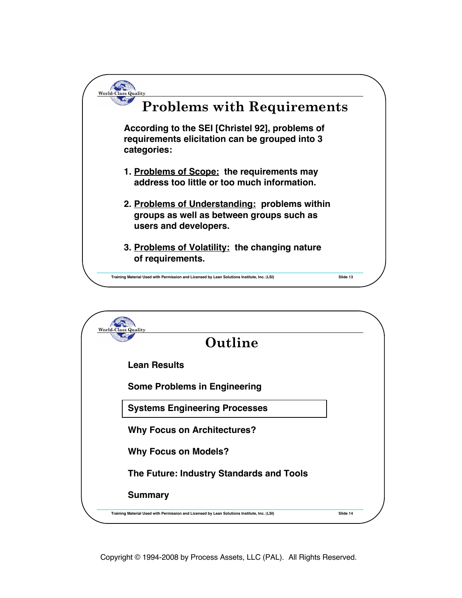

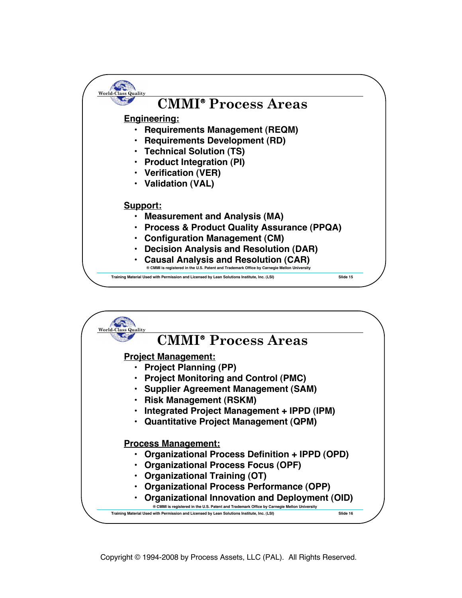

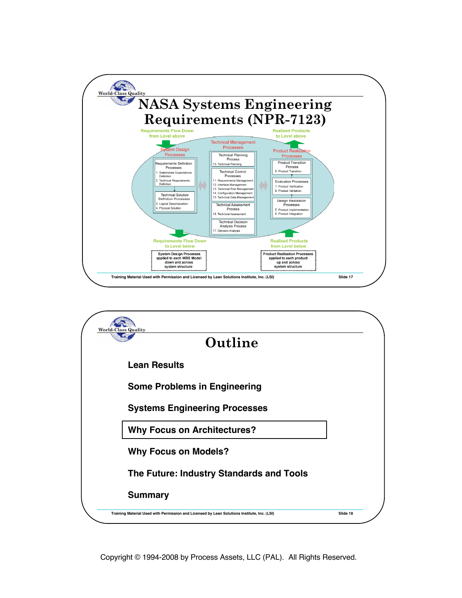

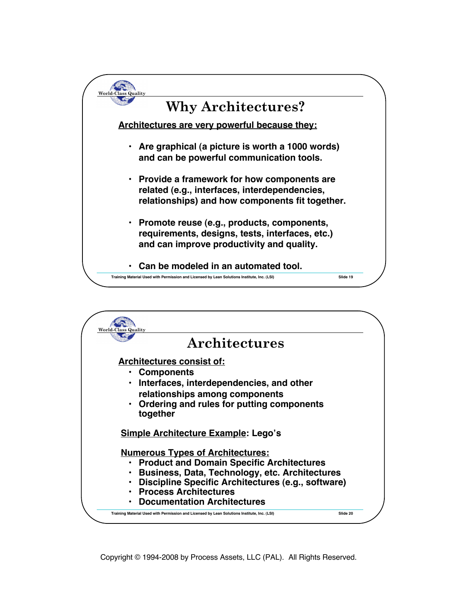

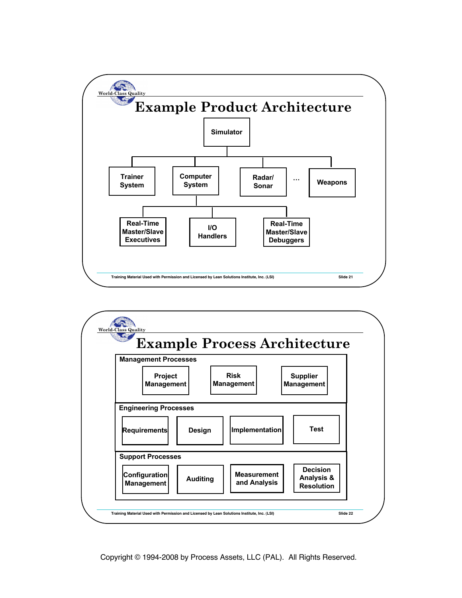

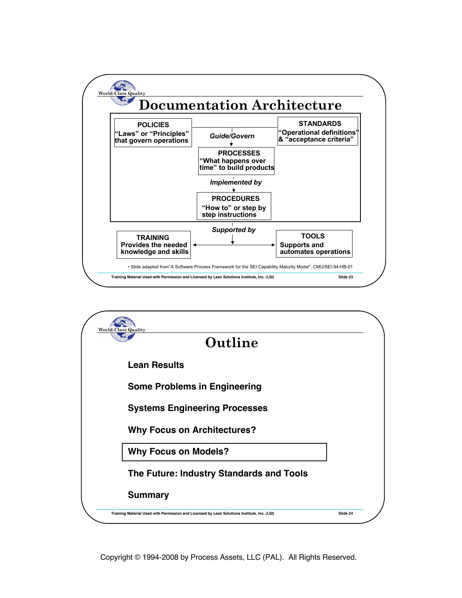

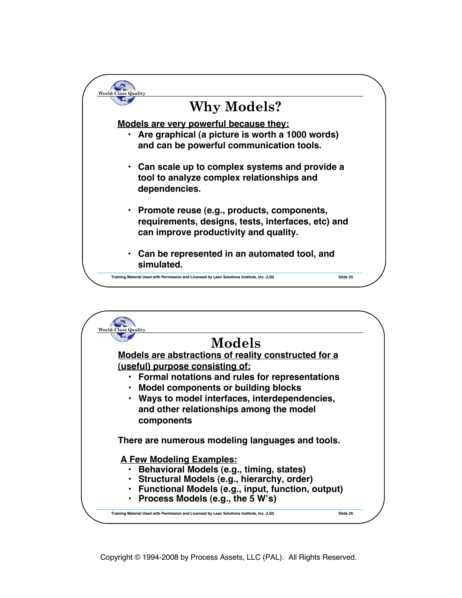

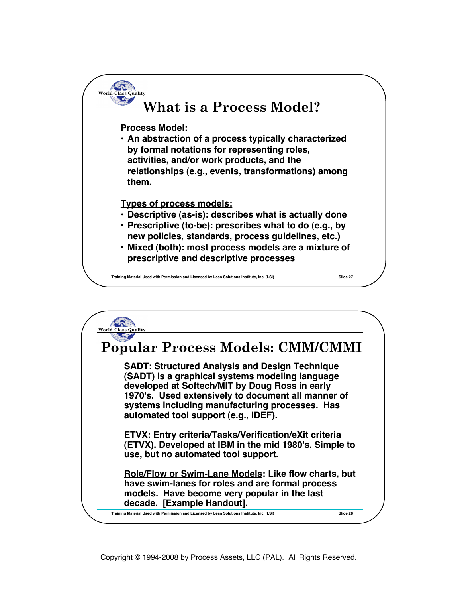

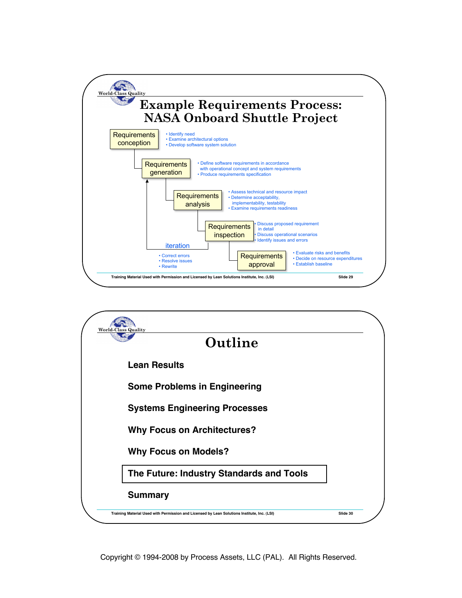

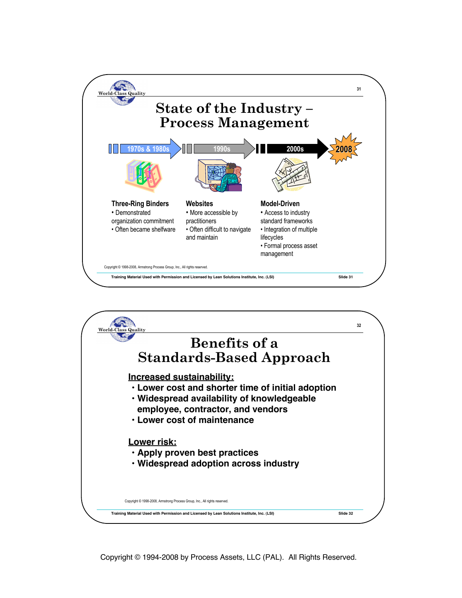

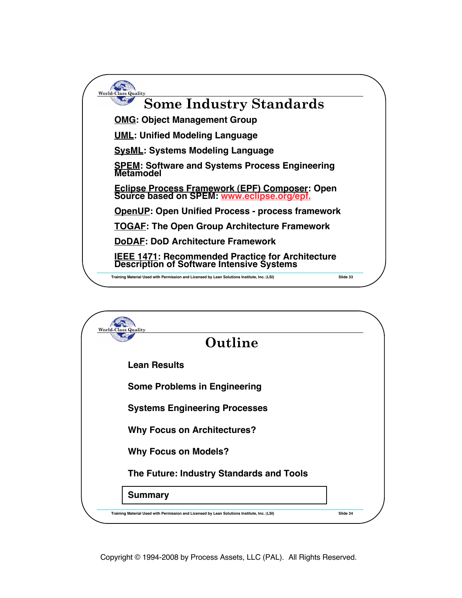